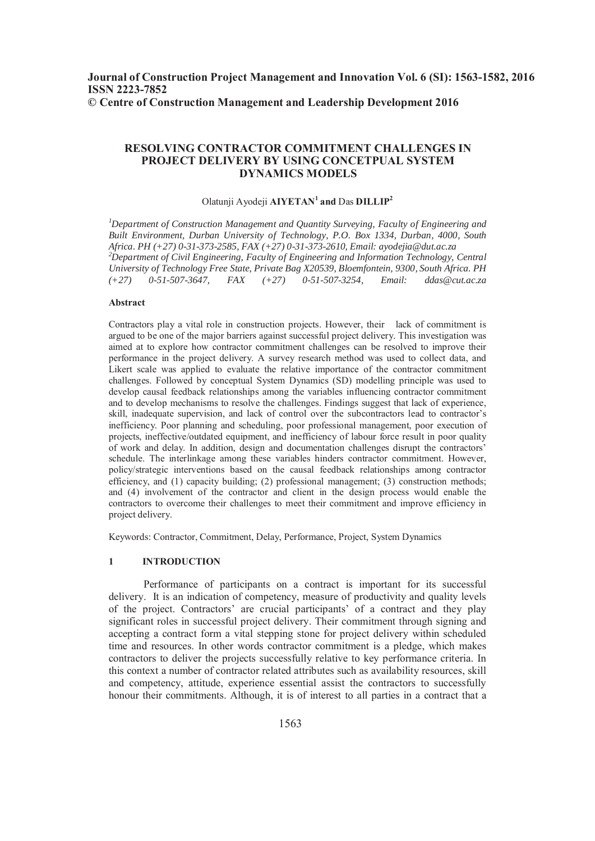# **RESOLVING CONTRACTOR COMMITMENT CHALLENGES IN PROJECT DELIVERY BY USING CONCETPUAL SYSTEM DYNAMICS MODELS**

## Olatunji Ayodeji **AIYETAN<sup>1</sup> and** Das **DILLIP<sup>2</sup>**

*1 Department of Construction Management and Quantity Surveying, Faculty of Engineering and Built Environment, Durban University of Technology, P.O. Box 1334, Durban, 4000, South Africa. PH (+27) 0-31-373-2585, FAX (+27) 0-31-373-2610, Email: ayodejia@dut.ac.za 2 Department of Civil Engineering, Faculty of Engineering and Information Technology, Central University of Technology Free State, Private Bag X20539, Bloemfontein, 9300, South Africa. PH (+27) 0-51-507-3647, FAX (+27) 0-51-507-3254, Email: ddas@cut.ac.za* 

### **Abstract**

Contractors play a vital role in construction projects. However, their lack of commitment is argued to be one of the major barriers against successful project delivery. This investigation was aimed at to explore how contractor commitment challenges can be resolved to improve their performance in the project delivery. A survey research method was used to collect data, and Likert scale was applied to evaluate the relative importance of the contractor commitment challenges. Followed by conceptual System Dynamics (SD) modelling principle was used to develop causal feedback relationships among the variables influencing contractor commitment and to develop mechanisms to resolve the challenges. Findings suggest that lack of experience, skill, inadequate supervision, and lack of control over the subcontractors lead to contractor's inefficiency. Poor planning and scheduling, poor professional management, poor execution of projects, ineffective/outdated equipment, and inefficiency of labour force result in poor quality of work and delay. In addition, design and documentation challenges disrupt the contractors' schedule. The interlinkage among these variables hinders contractor commitment. However, policy/strategic interventions based on the causal feedback relationships among contractor efficiency, and (1) capacity building; (2) professional management; (3) construction methods; and (4) involvement of the contractor and client in the design process would enable the contractors to overcome their challenges to meet their commitment and improve efficiency in project delivery.

Keywords: Contractor, Commitment, Delay, Performance, Project, System Dynamics

### **1 INTRODUCTION**

Performance of participants on a contract is important for its successful delivery. It is an indication of competency, measure of productivity and quality levels of the project. Contractors' are crucial participants' of a contract and they play significant roles in successful project delivery. Their commitment through signing and accepting a contract form a vital stepping stone for project delivery within scheduled time and resources. In other words contractor commitment is a pledge, which makes contractors to deliver the projects successfully relative to key performance criteria. In this context a number of contractor related attributes such as availability resources, skill and competency, attitude, experience essential assist the contractors to successfully honour their commitments. Although, it is of interest to all parties in a contract that a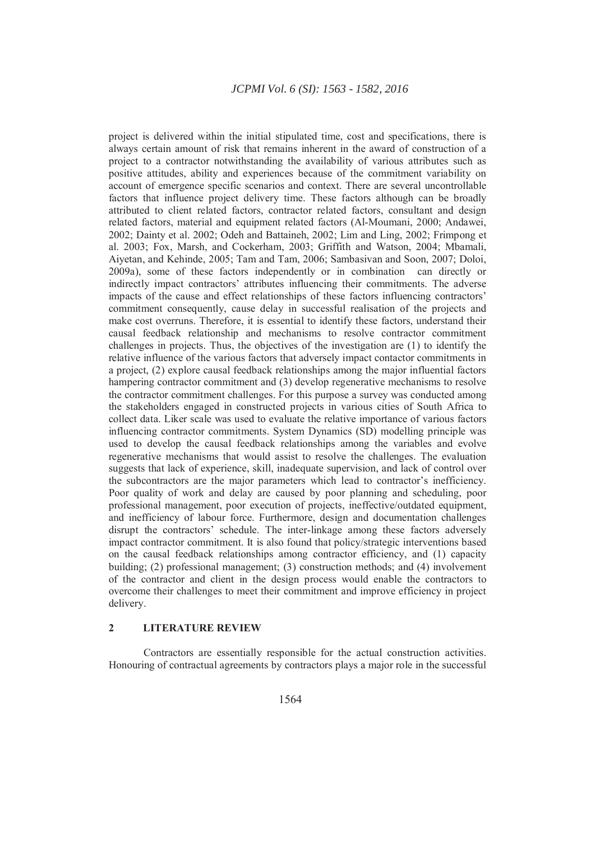project is delivered within the initial stipulated time, cost and specifications, there is always certain amount of risk that remains inherent in the award of construction of a project to a contractor notwithstanding the availability of various attributes such as positive attitudes, ability and experiences because of the commitment variability on account of emergence specific scenarios and context. There are several uncontrollable factors that influence project delivery time. These factors although can be broadly attributed to client related factors, contractor related factors, consultant and design related factors, material and equipment related factors (Al-Moumani, 2000; Andawei, 2002; Dainty et al. 2002; Odeh and Battaineh, 2002; Lim and Ling, 2002; Frimpong et al. 2003; Fox, Marsh, and Cockerham, 2003; Griffith and Watson, 2004; Mbamali, Aiyetan, and Kehinde, 2005; Tam and Tam, 2006; Sambasivan and Soon, 2007; Doloi, 2009a), some of these factors independently or in combination can directly or indirectly impact contractors' attributes influencing their commitments. The adverse impacts of the cause and effect relationships of these factors influencing contractors' commitment consequently, cause delay in successful realisation of the projects and make cost overruns. Therefore, it is essential to identify these factors, understand their causal feedback relationship and mechanisms to resolve contractor commitment challenges in projects. Thus, the objectives of the investigation are (1) to identify the relative influence of the various factors that adversely impact contactor commitments in a project, (2) explore causal feedback relationships among the major influential factors hampering contractor commitment and (3) develop regenerative mechanisms to resolve the contractor commitment challenges. For this purpose a survey was conducted among the stakeholders engaged in constructed projects in various cities of South Africa to collect data. Liker scale was used to evaluate the relative importance of various factors influencing contractor commitments. System Dynamics (SD) modelling principle was used to develop the causal feedback relationships among the variables and evolve regenerative mechanisms that would assist to resolve the challenges. The evaluation suggests that lack of experience, skill, inadequate supervision, and lack of control over the subcontractors are the major parameters which lead to contractor's inefficiency. Poor quality of work and delay are caused by poor planning and scheduling, poor professional management, poor execution of projects, ineffective/outdated equipment, and inefficiency of labour force. Furthermore, design and documentation challenges disrupt the contractors' schedule. The inter-linkage among these factors adversely impact contractor commitment. It is also found that policy/strategic interventions based on the causal feedback relationships among contractor efficiency, and (1) capacity building; (2) professional management; (3) construction methods; and (4) involvement of the contractor and client in the design process would enable the contractors to overcome their challenges to meet their commitment and improve efficiency in project delivery.

## **2 LITERATURE REVIEW**

Contractors are essentially responsible for the actual construction activities. Honouring of contractual agreements by contractors plays a major role in the successful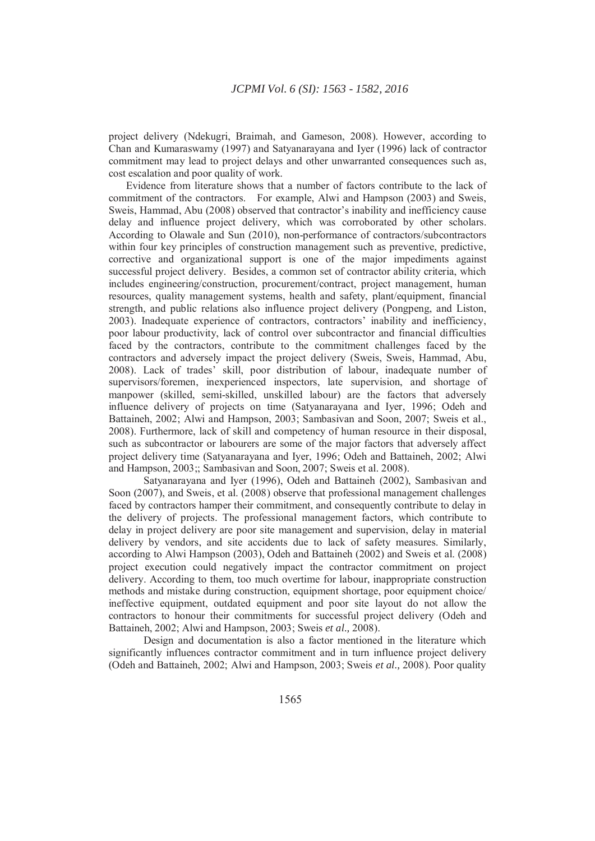project delivery (Ndekugri, Braimah, and Gameson, 2008). However, according to Chan and Kumaraswamy (1997) and Satyanarayana and Iyer (1996) lack of contractor commitment may lead to project delays and other unwarranted consequences such as, cost escalation and poor quality of work.

Evidence from literature shows that a number of factors contribute to the lack of commitment of the contractors. For example, Alwi and Hampson (2003) and Sweis, Sweis, Hammad, Abu (2008) observed that contractor's inability and inefficiency cause delay and influence project delivery, which was corroborated by other scholars. According to Olawale and Sun (2010), non-performance of contractors/subcontractors within four key principles of construction management such as preventive, predictive, corrective and organizational support is one of the major impediments against successful project delivery. Besides, a common set of contractor ability criteria, which includes engineering/construction, procurement/contract, project management, human resources, quality management systems, health and safety, plant/equipment, financial strength, and public relations also influence project delivery (Pongpeng, and Liston, 2003). Inadequate experience of contractors, contractors' inability and inefficiency, poor labour productivity, lack of control over subcontractor and financial difficulties faced by the contractors, contribute to the commitment challenges faced by the contractors and adversely impact the project delivery (Sweis, Sweis, Hammad, Abu, 2008). Lack of trades' skill, poor distribution of labour, inadequate number of supervisors/foremen, inexperienced inspectors, late supervision, and shortage of manpower (skilled, semi-skilled, unskilled labour) are the factors that adversely influence delivery of projects on time (Satyanarayana and Iyer, 1996; Odeh and Battaineh, 2002; Alwi and Hampson, 2003; Sambasivan and Soon, 2007; Sweis et al., 2008). Furthermore, lack of skill and competency of human resource in their disposal, such as subcontractor or labourers are some of the major factors that adversely affect project delivery time (Satyanarayana and Iyer, 1996; Odeh and Battaineh, 2002; Alwi and Hampson, 2003;; Sambasivan and Soon, 2007; Sweis et al. 2008).

Satyanarayana and Iyer (1996), Odeh and Battaineh (2002), Sambasivan and Soon (2007), and Sweis, et al. (2008) observe that professional management challenges faced by contractors hamper their commitment, and consequently contribute to delay in the delivery of projects. The professional management factors, which contribute to delay in project delivery are poor site management and supervision, delay in material delivery by vendors, and site accidents due to lack of safety measures. Similarly, according to Alwi Hampson (2003), Odeh and Battaineh (2002) and Sweis et al. (2008) project execution could negatively impact the contractor commitment on project delivery. According to them, too much overtime for labour, inappropriate construction methods and mistake during construction, equipment shortage, poor equipment choice/ ineffective equipment, outdated equipment and poor site layout do not allow the contractors to honour their commitments for successful project delivery (Odeh and Battaineh, 2002; Alwi and Hampson, 2003; Sweis *et al.,* 2008).

Design and documentation is also a factor mentioned in the literature which significantly influences contractor commitment and in turn influence project delivery (Odeh and Battaineh, 2002; Alwi and Hampson, 2003; Sweis *et al.,* 2008). Poor quality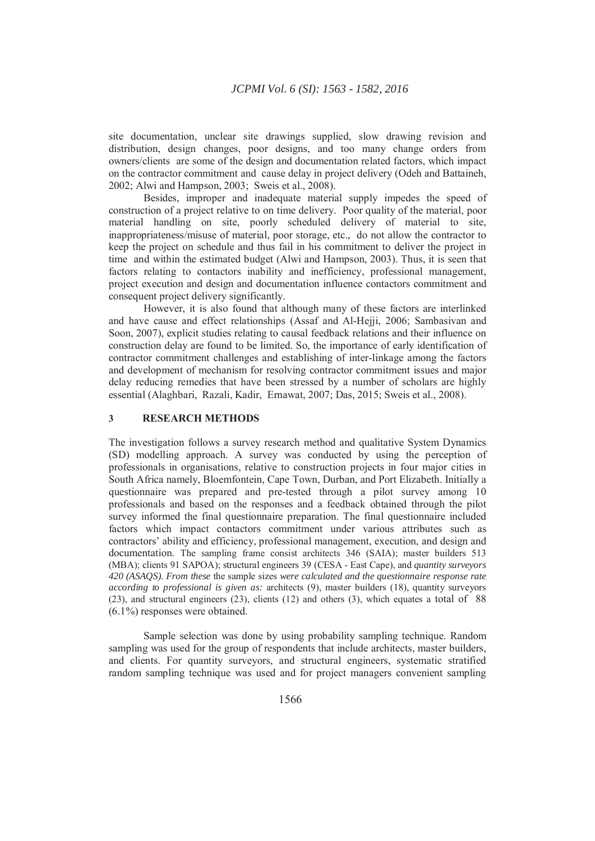site documentation, unclear site drawings supplied, slow drawing revision and distribution, design changes, poor designs, and too many change orders from owners/clients are some of the design and documentation related factors, which impact on the contractor commitment and cause delay in project delivery (Odeh and Battaineh, 2002; Alwi and Hampson, 2003; Sweis et al., 2008).

Besides, improper and inadequate material supply impedes the speed of construction of a project relative to on time delivery. Poor quality of the material, poor material handling on site, poorly scheduled delivery of material to site, inappropriateness/misuse of material, poor storage, etc., do not allow the contractor to keep the project on schedule and thus fail in his commitment to deliver the project in time and within the estimated budget (Alwi and Hampson, 2003). Thus, it is seen that factors relating to contactors inability and inefficiency, professional management, project execution and design and documentation influence contactors commitment and consequent project delivery significantly.

However, it is also found that although many of these factors are interlinked and have cause and effect relationships (Assaf and Al-Hejji, 2006; Sambasivan and Soon, 2007), explicit studies relating to causal feedback relations and their influence on construction delay are found to be limited. So, the importance of early identification of contractor commitment challenges and establishing of inter-linkage among the factors and development of mechanism for resolving contractor commitment issues and major delay reducing remedies that have been stressed by a number of scholars are highly essential (Alaghbari, Razali, Kadir, Ernawat, 2007; Das, 2015; Sweis et al., 2008).

### **3 RESEARCH METHODS**

The investigation follows a survey research method and qualitative System Dynamics (SD) modelling approach. A survey was conducted by using the perception of professionals in organisations, relative to construction projects in four major cities in South Africa namely, Bloemfontein, Cape Town, Durban, and Port Elizabeth. Initially a questionnaire was prepared and pre-tested through a pilot survey among 10 professionals and based on the responses and a feedback obtained through the pilot survey informed the final questionnaire preparation. The final questionnaire included factors which impact contactors commitment under various attributes such as contractors' ability and efficiency, professional management, execution, and design and documentation. The sampling frame consist architects 346 (SAIA); master builders 513 (MBA); clients 91 SAPOA); structural engineers 39 (CESA - East Cape), and *quantity surveyors 420 (ASAQS). From these* the sample sizes *were calculated and the questionnaire response rate according to professional is given as:* architects (9), master builders (18), quantity surveyors (23), and structural engineers (23), clients (12) and others (3), which equates a total of 88 (6.1%) responses were obtained.

Sample selection was done by using probability sampling technique. Random sampling was used for the group of respondents that include architects, master builders, and clients. For quantity surveyors, and structural engineers, systematic stratified random sampling technique was used and for project managers convenient sampling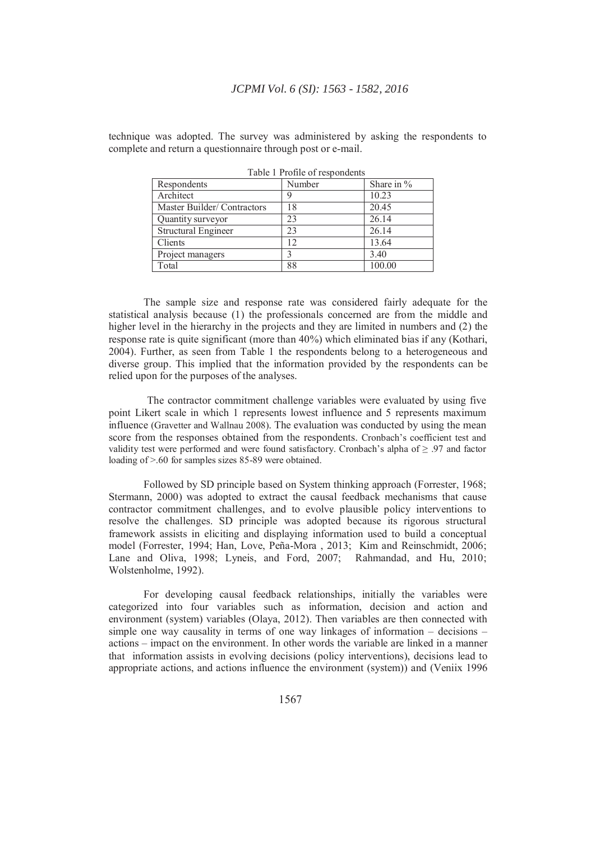| Table 1 Profile of respondents |        |               |  |  |
|--------------------------------|--------|---------------|--|--|
| Respondents                    | Number | Share in $\%$ |  |  |
| Architect                      | y      | 10.23         |  |  |
| Master Builder/Contractors     | 18     | 20.45         |  |  |
| Quantity surveyor              | 23     | 26.14         |  |  |
| <b>Structural Engineer</b>     | 23     | 26.14         |  |  |
| Clients                        | 12     | 13.64         |  |  |
| Project managers               | 3      | 3.40          |  |  |
| Total                          | 88     | 100.00        |  |  |

technique was adopted. The survey was administered by asking the respondents to complete and return a questionnaire through post or e-mail.

The sample size and response rate was considered fairly adequate for the statistical analysis because (1) the professionals concerned are from the middle and higher level in the hierarchy in the projects and they are limited in numbers and (2) the response rate is quite significant (more than 40%) which eliminated bias if any (Kothari, 2004). Further, as seen from Table 1 the respondents belong to a heterogeneous and diverse group. This implied that the information provided by the respondents can be relied upon for the purposes of the analyses.

 The contractor commitment challenge variables were evaluated by using five point Likert scale in which 1 represents lowest influence and 5 represents maximum influence (Gravetter and Wallnau 2008). The evaluation was conducted by using the mean score from the responses obtained from the respondents. Cronbach's coefficient test and validity test were performed and were found satisfactory. Cronbach's alpha of ≥ .97 and factor loading of  $> 60$  for samples sizes 85-89 were obtained.

Followed by SD principle based on System thinking approach (Forrester, 1968; Stermann, 2000) was adopted to extract the causal feedback mechanisms that cause contractor commitment challenges, and to evolve plausible policy interventions to resolve the challenges. SD principle was adopted because its rigorous structural framework assists in eliciting and displaying information used to build a conceptual model (Forrester, 1994; Han, Love, Peña-Mora , 2013; Kim and Reinschmidt, 2006; Lane and Oliva, 1998; Lyneis, and Ford, 2007; Rahmandad, and Hu, 2010; Wolstenholme, 1992).

For developing causal feedback relationships, initially the variables were categorized into four variables such as information, decision and action and environment (system) variables (Olaya, 2012). Then variables are then connected with simple one way causality in terms of one way linkages of information – decisions – actions – impact on the environment. In other words the variable are linked in a manner that information assists in evolving decisions (policy interventions), decisions lead to appropriate actions, and actions influence the environment (system)) and (Veniix 1996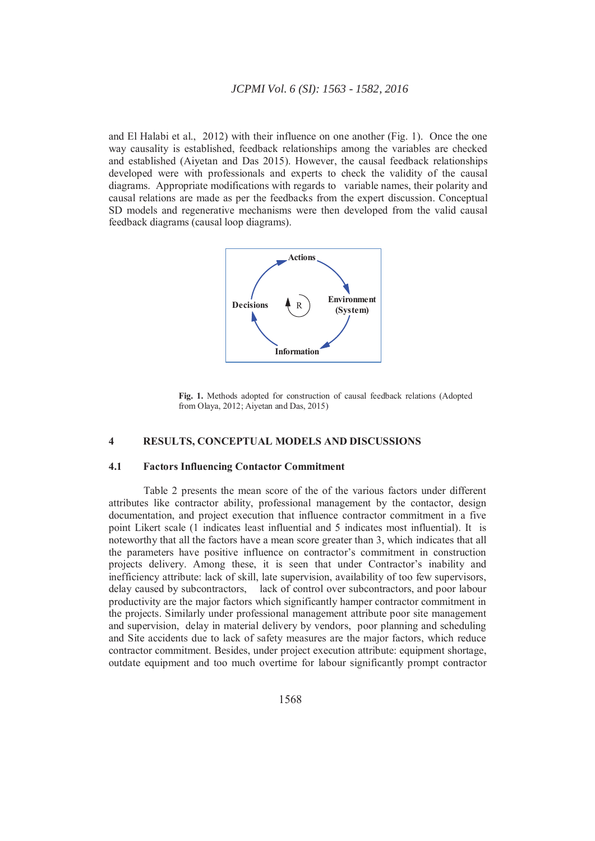and El Halabi et al., 2012) with their influence on one another (Fig. 1). Once the one way causality is established, feedback relationships among the variables are checked and established (Aiyetan and Das 2015). However, the causal feedback relationships developed were with professionals and experts to check the validity of the causal diagrams. Appropriate modifications with regards to variable names, their polarity and causal relations are made as per the feedbacks from the expert discussion. Conceptual SD models and regenerative mechanisms were then developed from the valid causal feedback diagrams (causal loop diagrams).



**Fig. 1.** Methods adopted for construction of causal feedback relations (Adopted from Olaya, 2012; Aiyetan and Das, 2015)

#### **4 RESULTS, CONCEPTUAL MODELS AND DISCUSSIONS**

# **4.1 Factors Influencing Contactor Commitment**

Table 2 presents the mean score of the of the various factors under different attributes like contractor ability, professional management by the contactor, design documentation, and project execution that influence contractor commitment in a five point Likert scale (1 indicates least influential and 5 indicates most influential). It is noteworthy that all the factors have a mean score greater than 3, which indicates that all the parameters have positive influence on contractor's commitment in construction projects delivery. Among these, it is seen that under Contractor's inability and inefficiency attribute: lack of skill, late supervision, availability of too few supervisors, delay caused by subcontractors, lack of control over subcontractors, and poor labour productivity are the major factors which significantly hamper contractor commitment in the projects. Similarly under professional management attribute poor site management and supervision, delay in material delivery by vendors, poor planning and scheduling and Site accidents due to lack of safety measures are the major factors, which reduce contractor commitment. Besides, under project execution attribute: equipment shortage, outdate equipment and too much overtime for labour significantly prompt contractor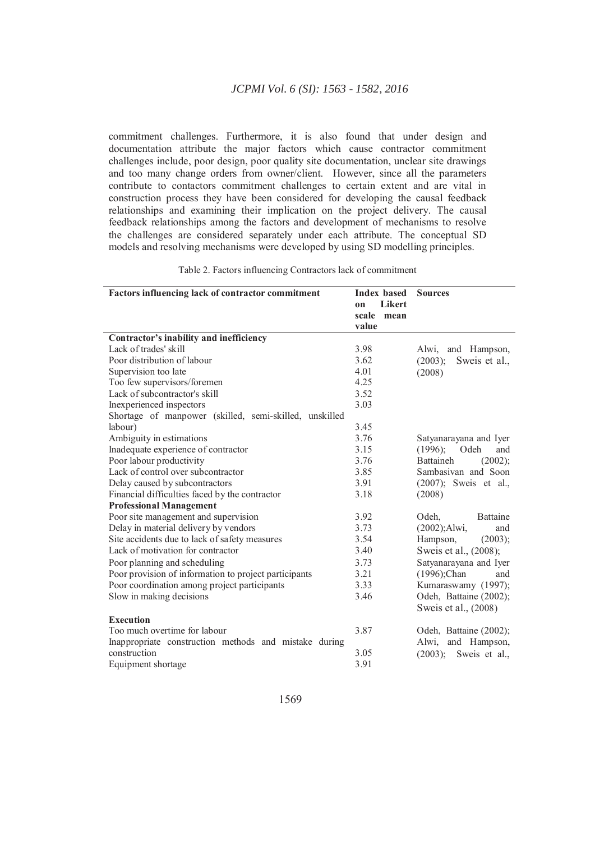commitment challenges. Furthermore, it is also found that under design and documentation attribute the major factors which cause contractor commitment challenges include, poor design, poor quality site documentation, unclear site drawings and too many change orders from owner/client. However, since all the parameters contribute to contactors commitment challenges to certain extent and are vital in construction process they have been considered for developing the causal feedback relationships and examining their implication on the project delivery. The causal feedback relationships among the factors and development of mechanisms to resolve the challenges are considered separately under each attribute. The conceptual SD models and resolving mechanisms were developed by using SD modelling principles.

| Factors influencing lack of contractor commitment      | <b>Index based</b><br><b>Likert</b><br>on<br>scale<br>mean<br>value | <b>Sources</b>           |
|--------------------------------------------------------|---------------------------------------------------------------------|--------------------------|
| Contractor's inability and inefficiency                |                                                                     |                          |
| Lack of trades' skill                                  | 3.98                                                                | Alwi,<br>and Hampson,    |
| Poor distribution of labour                            | 3.62                                                                | Sweis et al.,<br>(2003); |
| Supervision too late                                   | 4.01                                                                | (2008)                   |
| Too few supervisors/foremen                            | 4.25                                                                |                          |
| Lack of subcontractor's skill                          | 3.52                                                                |                          |
| Inexperienced inspectors                               | 3.03                                                                |                          |
| Shortage of manpower (skilled, semi-skilled, unskilled |                                                                     |                          |
| labour)                                                | 3.45                                                                |                          |
| Ambiguity in estimations                               | 3.76                                                                | Satyanarayana and Iyer   |
| Inadequate experience of contractor                    | 3.15                                                                | (1996);<br>Odeh<br>and   |
| Poor labour productivity                               | 3.76                                                                | Battaineh<br>$(2002)$ ;  |
| Lack of control over subcontractor                     | 3.85                                                                | Sambasivan and Soon      |
| Delay caused by subcontractors                         | 3.91                                                                | (2007); Sweis et al.,    |
| Financial difficulties faced by the contractor         | 3.18                                                                | (2008)                   |
| <b>Professional Management</b>                         |                                                                     |                          |
| Poor site management and supervision                   | 3.92                                                                | Odeh.<br><b>Battaine</b> |
| Delay in material delivery by vendors                  | 3.73                                                                | $(2002);$ Alwi,<br>and   |
| Site accidents due to lack of safety measures          | 3.54                                                                | (2003);<br>Hampson,      |
| Lack of motivation for contractor                      | 3.40                                                                | Sweis et al., (2008);    |
| Poor planning and scheduling                           | 3.73                                                                | Satyanarayana and Iyer   |
| Poor provision of information to project participants  | 3.21                                                                | (1996);Chan<br>and       |
| Poor coordination among project participants           | 3.33                                                                | Kumaraswamy (1997);      |
| Slow in making decisions                               | 3.46                                                                | Odeh, Battaine (2002);   |
|                                                        |                                                                     | Sweis et al., (2008)     |
| <b>Execution</b>                                       |                                                                     |                          |
| Too much overtime for labour                           | 3.87                                                                | Odeh, Battaine (2002);   |
| Inappropriate construction methods and mistake during  |                                                                     | Alwi, and Hampson,       |
| construction                                           | 3.05                                                                | Sweis et al.,<br>(2003); |
| Equipment shortage                                     | 3.91                                                                |                          |

| Table 2. Factors influencing Contractors lack of commitment |  |  |  |  |  |  |  |
|-------------------------------------------------------------|--|--|--|--|--|--|--|
|-------------------------------------------------------------|--|--|--|--|--|--|--|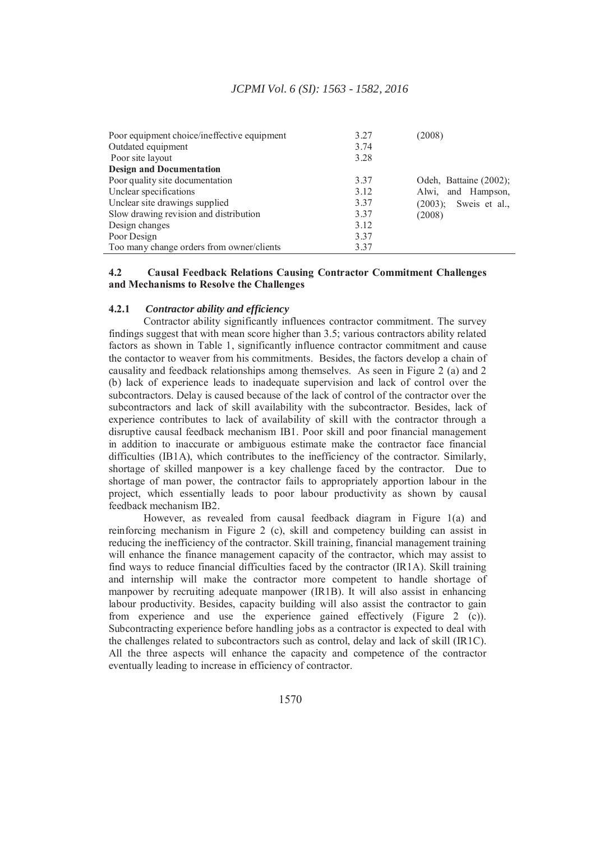| Poor equipment choice/ineffective equipment<br>Outdated equipment<br>Poor site layout | 3.27<br>3.74<br>3.28 | (2008)                      |
|---------------------------------------------------------------------------------------|----------------------|-----------------------------|
| <b>Design and Documentation</b>                                                       |                      |                             |
| Poor quality site documentation                                                       | 3.37                 | Odeh, Battaine (2002);      |
| Unclear specifications                                                                | 3.12                 | Alwi, and Hampson,          |
| Unclear site drawings supplied                                                        | 3.37                 | Sweis et al.,<br>$(2003)$ ; |
| Slow drawing revision and distribution                                                | 3.37                 | (2008)                      |
| Design changes                                                                        | 3.12                 |                             |
| Poor Design                                                                           | 3.37                 |                             |
| Too many change orders from owner/clients                                             | 3.37                 |                             |

# **4.2 Causal Feedback Relations Causing Contractor Commitment Challenges and Mechanisms to Resolve the Challenges**

# **4.2.1** *Contractor ability and efficiency*

Contractor ability significantly influences contractor commitment. The survey findings suggest that with mean score higher than 3.5; various contractors ability related factors as shown in Table 1, significantly influence contractor commitment and cause the contactor to weaver from his commitments. Besides, the factors develop a chain of causality and feedback relationships among themselves. As seen in Figure 2 (a) and 2 (b) lack of experience leads to inadequate supervision and lack of control over the subcontractors. Delay is caused because of the lack of control of the contractor over the subcontractors and lack of skill availability with the subcontractor. Besides, lack of experience contributes to lack of availability of skill with the contractor through a disruptive causal feedback mechanism IB1. Poor skill and poor financial management in addition to inaccurate or ambiguous estimate make the contractor face financial difficulties (IB1A), which contributes to the inefficiency of the contractor. Similarly, shortage of skilled manpower is a key challenge faced by the contractor. Due to shortage of man power, the contractor fails to appropriately apportion labour in the project, which essentially leads to poor labour productivity as shown by causal feedback mechanism IB2.

However, as revealed from causal feedback diagram in Figure 1(a) and reinforcing mechanism in Figure 2 (c), skill and competency building can assist in reducing the inefficiency of the contractor. Skill training, financial management training will enhance the finance management capacity of the contractor, which may assist to find ways to reduce financial difficulties faced by the contractor (IR1A). Skill training and internship will make the contractor more competent to handle shortage of manpower by recruiting adequate manpower (IR1B). It will also assist in enhancing labour productivity. Besides, capacity building will also assist the contractor to gain from experience and use the experience gained effectively (Figure 2 (c)). Subcontracting experience before handling jobs as a contractor is expected to deal with the challenges related to subcontractors such as control, delay and lack of skill (IR1C). All the three aspects will enhance the capacity and competence of the contractor eventually leading to increase in efficiency of contractor.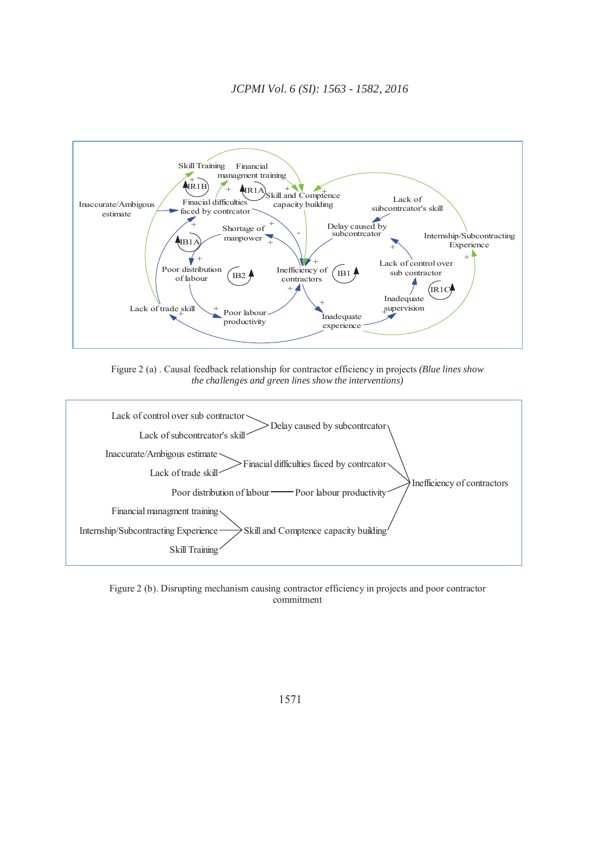

Figure 2 (a) . Causal feedback relationship for contractor efficiency in projects *(Blue lines show the challenges and green lines show the interventions)*



Figure 2 (b). Disrupting mechanism causing contractor efficiency in projects and poor contractor commitment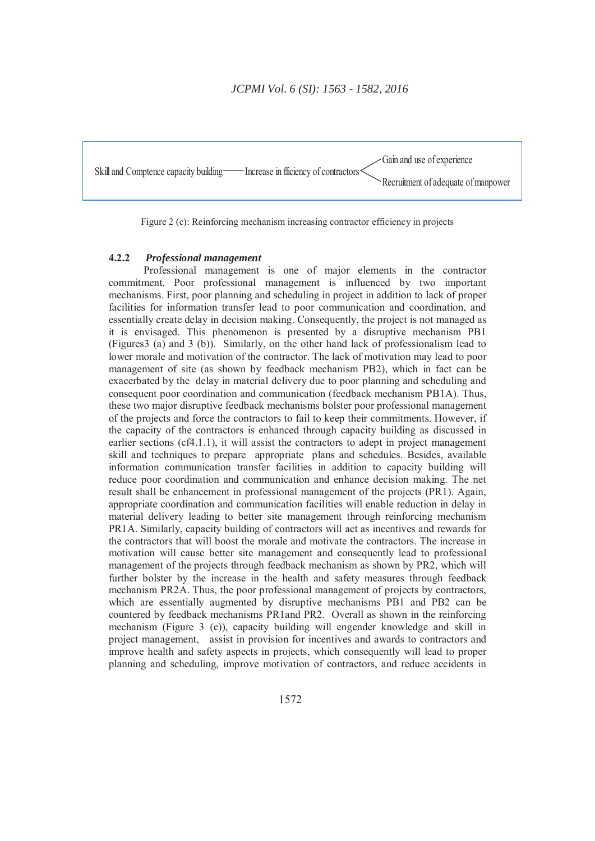

Figure 2 (c): Reinforcing mechanism increasing contractor efficiency in projects

## **4.2.2** *Professional management*

Professional management is one of major elements in the contractor commitment. Poor professional management is influenced by two important mechanisms. First, poor planning and scheduling in project in addition to lack of proper facilities for information transfer lead to poor communication and coordination, and essentially create delay in decision making. Consequently, the project is not managed as it is envisaged. This phenomenon is presented by a disruptive mechanism PB1 (Figures3 (a) and 3 (b)). Similarly, on the other hand lack of professionalism lead to lower morale and motivation of the contractor. The lack of motivation may lead to poor management of site (as shown by feedback mechanism PB2), which in fact can be exacerbated by the delay in material delivery due to poor planning and scheduling and consequent poor coordination and communication (feedback mechanism PB1A). Thus, these two major disruptive feedback mechanisms bolster poor professional management of the projects and force the contractors to fail to keep their commitments. However, if the capacity of the contractors is enhanced through capacity building as discussed in earlier sections (cf4.1.1), it will assist the contractors to adept in project management skill and techniques to prepare appropriate plans and schedules. Besides, available information communication transfer facilities in addition to capacity building will reduce poor coordination and communication and enhance decision making. The net result shall be enhancement in professional management of the projects (PR1). Again, appropriate coordination and communication facilities will enable reduction in delay in material delivery leading to better site management through reinforcing mechanism PR1A. Similarly, capacity building of contractors will act as incentives and rewards for the contractors that will boost the morale and motivate the contractors. The increase in motivation will cause better site management and consequently lead to professional management of the projects through feedback mechanism as shown by PR2, which will further bolster by the increase in the health and safety measures through feedback mechanism PR2A. Thus, the poor professional management of projects by contractors, which are essentially augmented by disruptive mechanisms PB1 and PB2 can be countered by feedback mechanisms PR1and PR2. Overall as shown in the reinforcing mechanism (Figure 3 (c)), capacity building will engender knowledge and skill in project management, assist in provision for incentives and awards to contractors and improve health and safety aspects in projects, which consequently will lead to proper planning and scheduling, improve motivation of contractors, and reduce accidents in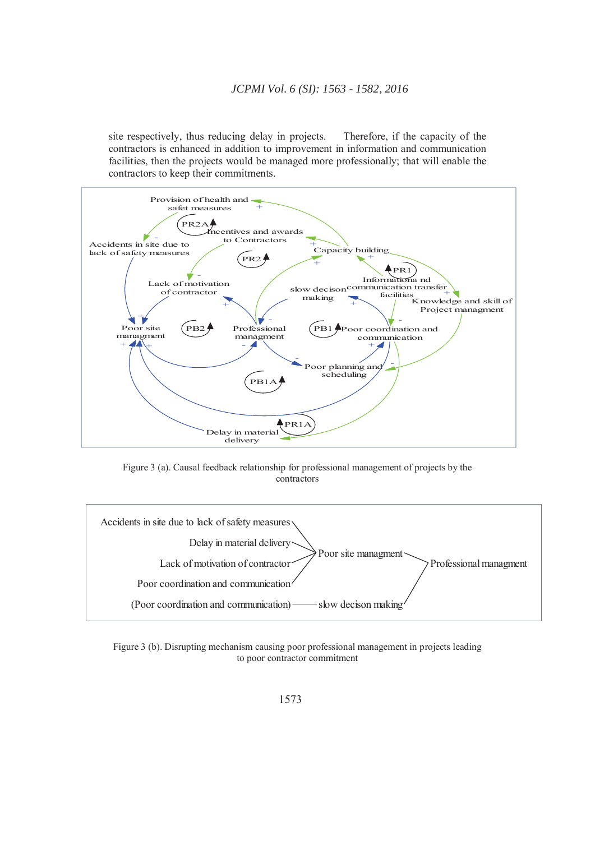site respectively, thus reducing delay in projects. Therefore, if the capacity of the contractors is enhanced in addition to improvement in information and communication facilities, then the projects would be managed more professionally; that will enable the contractors to keep their commitments.



Figure 3 (a). Causal feedback relationship for professional management of projects by the contractors



Figure 3 (b). Disrupting mechanism causing poor professional management in projects leading to poor contractor commitment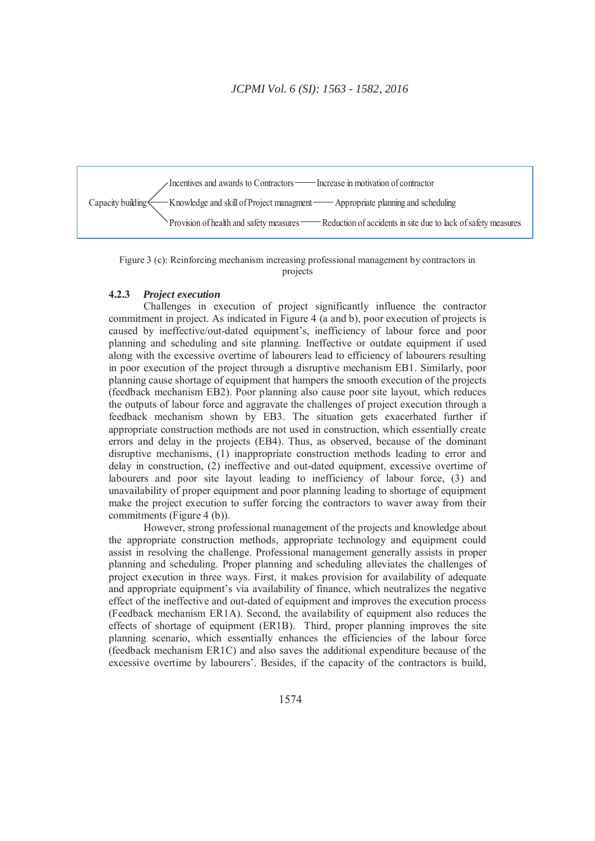

Figure 3 (c): Reinforcing mechanism increasing professional management by contractors in projects

## **4.2.3** *Project execution*

Challenges in execution of project significantly influence the contractor commitment in project. As indicated in Figure 4 (a and b), poor execution of projects is caused by ineffective/out-dated equipment's, inefficiency of labour force and poor planning and scheduling and site planning. Ineffective or outdate equipment if used along with the excessive overtime of labourers lead to efficiency of labourers resulting in poor execution of the project through a disruptive mechanism EB1. Similarly, poor planning cause shortage of equipment that hampers the smooth execution of the projects (feedback mechanism EB2). Poor planning also cause poor site layout, which reduces the outputs of labour force and aggravate the challenges of project execution through a feedback mechanism shown by EB3. The situation gets exacerbated further if appropriate construction methods are not used in construction, which essentially create errors and delay in the projects (EB4). Thus, as observed, because of the dominant disruptive mechanisms, (1) inappropriate construction methods leading to error and delay in construction, (2) ineffective and out-dated equipment, excessive overtime of labourers and poor site layout leading to inefficiency of labour force, (3) and unavailability of proper equipment and poor planning leading to shortage of equipment make the project execution to suffer forcing the contractors to waver away from their commitments (Figure 4 (b)).

However, strong professional management of the projects and knowledge about the appropriate construction methods, appropriate technology and equipment could assist in resolving the challenge. Professional management generally assists in proper planning and scheduling. Proper planning and scheduling alleviates the challenges of project execution in three ways. First, it makes provision for availability of adequate and appropriate equipment's via availability of finance, which neutralizes the negative effect of the ineffective and out-dated of equipment and improves the execution process (Feedback mechanism ER1A). Second, the availability of equipment also reduces the effects of shortage of equipment (ER1B). Third, proper planning improves the site planning scenario, which essentially enhances the efficiencies of the labour force (feedback mechanism ER1C) and also saves the additional expenditure because of the excessive overtime by labourers'. Besides, if the capacity of the contractors is build,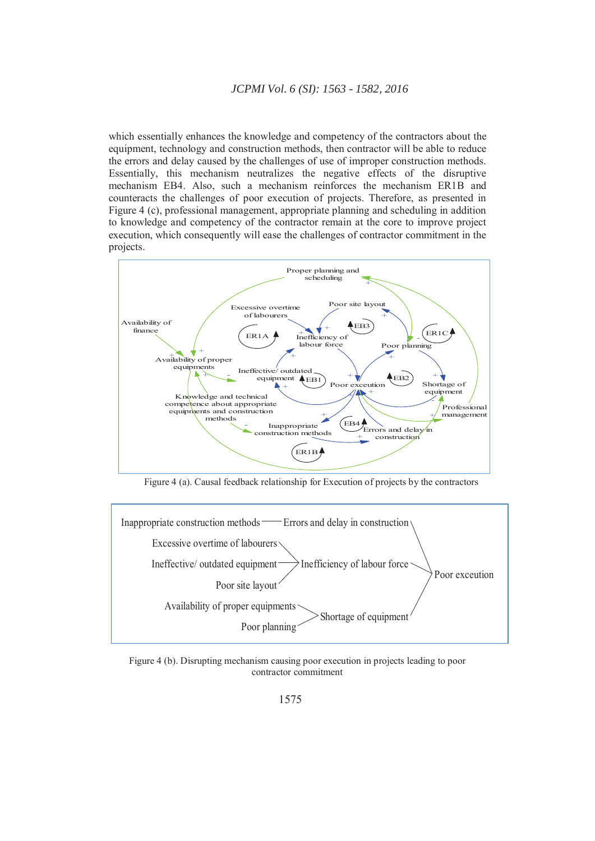which essentially enhances the knowledge and competency of the contractors about the equipment, technology and construction methods, then contractor will be able to reduce the errors and delay caused by the challenges of use of improper construction methods. Essentially, this mechanism neutralizes the negative effects of the disruptive mechanism EB4. Also, such a mechanism reinforces the mechanism ER1B and counteracts the challenges of poor execution of projects. Therefore, as presented in Figure 4 (c), professional management, appropriate planning and scheduling in addition to knowledge and competency of the contractor remain at the core to improve project execution, which consequently will ease the challenges of contractor commitment in the projects.



Figure 4 (a). Causal feedback relationship for Execution of projects by the contractors



Figure 4 (b). Disrupting mechanism causing poor execution in projects leading to poor contractor commitment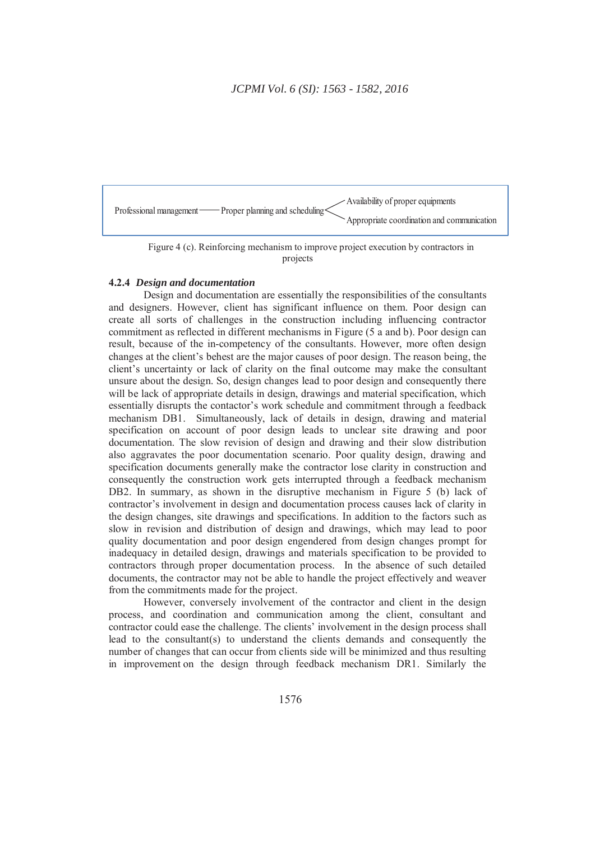# *JCPMI Vol. 6 (SI): 1563 - 1582, 2016*





## **4.2.4** *Design and documentation*

Design and documentation are essentially the responsibilities of the consultants and designers. However, client has significant influence on them. Poor design can create all sorts of challenges in the construction including influencing contractor commitment as reflected in different mechanisms in Figure (5 a and b). Poor design can result, because of the in-competency of the consultants. However, more often design changes at the client's behest are the major causes of poor design. The reason being, the client's uncertainty or lack of clarity on the final outcome may make the consultant unsure about the design. So, design changes lead to poor design and consequently there will be lack of appropriate details in design, drawings and material specification, which essentially disrupts the contactor's work schedule and commitment through a feedback mechanism DB1. Simultaneously, lack of details in design, drawing and material specification on account of poor design leads to unclear site drawing and poor documentation. The slow revision of design and drawing and their slow distribution also aggravates the poor documentation scenario. Poor quality design, drawing and specification documents generally make the contractor lose clarity in construction and consequently the construction work gets interrupted through a feedback mechanism DB2. In summary, as shown in the disruptive mechanism in Figure 5 (b) lack of contractor's involvement in design and documentation process causes lack of clarity in the design changes, site drawings and specifications. In addition to the factors such as slow in revision and distribution of design and drawings, which may lead to poor quality documentation and poor design engendered from design changes prompt for inadequacy in detailed design, drawings and materials specification to be provided to contractors through proper documentation process. In the absence of such detailed documents, the contractor may not be able to handle the project effectively and weaver from the commitments made for the project.

However, conversely involvement of the contractor and client in the design process, and coordination and communication among the client, consultant and contractor could ease the challenge. The clients' involvement in the design process shall lead to the consultant(s) to understand the clients demands and consequently the number of changes that can occur from clients side will be minimized and thus resulting in improvement on the design through feedback mechanism DR1. Similarly the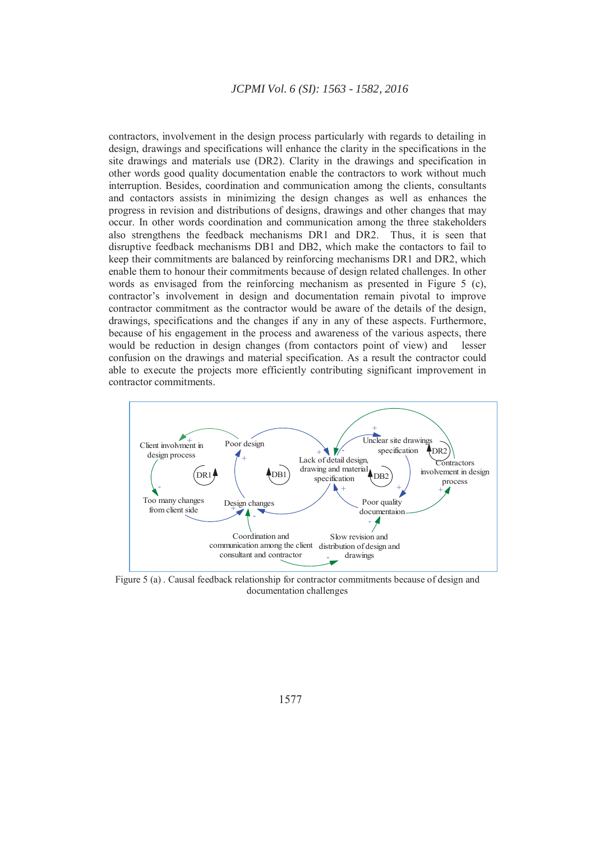contractors, involvement in the design process particularly with regards to detailing in design, drawings and specifications will enhance the clarity in the specifications in the site drawings and materials use (DR2). Clarity in the drawings and specification in other words good quality documentation enable the contractors to work without much interruption. Besides, coordination and communication among the clients, consultants and contactors assists in minimizing the design changes as well as enhances the progress in revision and distributions of designs, drawings and other changes that may occur. In other words coordination and communication among the three stakeholders also strengthens the feedback mechanisms DR1 and DR2. Thus, it is seen that disruptive feedback mechanisms DB1 and DB2, which make the contactors to fail to keep their commitments are balanced by reinforcing mechanisms DR1 and DR2, which enable them to honour their commitments because of design related challenges. In other words as envisaged from the reinforcing mechanism as presented in Figure 5 (c), contractor's involvement in design and documentation remain pivotal to improve contractor commitment as the contractor would be aware of the details of the design, drawings, specifications and the changes if any in any of these aspects. Furthermore, because of his engagement in the process and awareness of the various aspects, there would be reduction in design changes (from contactors point of view) and lesser confusion on the drawings and material specification. As a result the contractor could able to execute the projects more efficiently contributing significant improvement in contractor commitments.



Figure 5 (a) . Causal feedback relationship for contractor commitments because of design and documentation challenges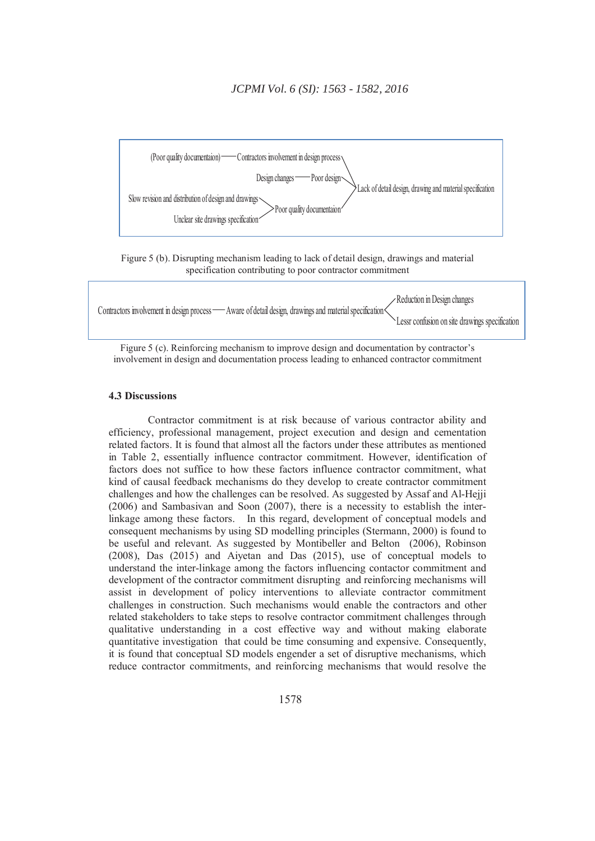

Figure 5 (b). Disrupting mechanism leading to lack of detail design, drawings and material specification contributing to poor contractor commitment



Figure 5 (c). Reinforcing mechanism to improve design and documentation by contractor's involvement in design and documentation process leading to enhanced contractor commitment

### **4.3 Discussions**

Contractor commitment is at risk because of various contractor ability and efficiency, professional management, project execution and design and cementation related factors. It is found that almost all the factors under these attributes as mentioned in Table 2, essentially influence contractor commitment. However, identification of factors does not suffice to how these factors influence contractor commitment, what kind of causal feedback mechanisms do they develop to create contractor commitment challenges and how the challenges can be resolved. As suggested by Assaf and Al-Hejji (2006) and Sambasivan and Soon (2007), there is a necessity to establish the interlinkage among these factors. In this regard, development of conceptual models and consequent mechanisms by using SD modelling principles (Stermann, 2000) is found to be useful and relevant. As suggested by Montibeller and Belton (2006), Robinson (2008), Das (2015) and Aiyetan and Das (2015), use of conceptual models to understand the inter-linkage among the factors influencing contactor commitment and development of the contractor commitment disrupting and reinforcing mechanisms will assist in development of policy interventions to alleviate contractor commitment challenges in construction. Such mechanisms would enable the contractors and other related stakeholders to take steps to resolve contractor commitment challenges through qualitative understanding in a cost effective way and without making elaborate quantitative investigation that could be time consuming and expensive. Consequently, it is found that conceptual SD models engender a set of disruptive mechanisms, which reduce contractor commitments, and reinforcing mechanisms that would resolve the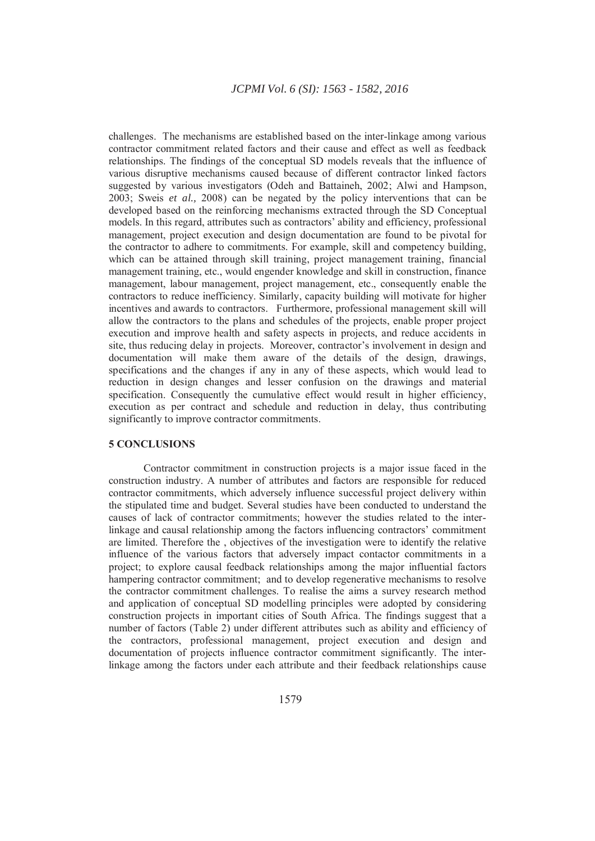challenges. The mechanisms are established based on the inter-linkage among various contractor commitment related factors and their cause and effect as well as feedback relationships. The findings of the conceptual SD models reveals that the influence of various disruptive mechanisms caused because of different contractor linked factors suggested by various investigators (Odeh and Battaineh, 2002; Alwi and Hampson, 2003; Sweis *et al.,* 2008) can be negated by the policy interventions that can be developed based on the reinforcing mechanisms extracted through the SD Conceptual models. In this regard, attributes such as contractors' ability and efficiency, professional management, project execution and design documentation are found to be pivotal for the contractor to adhere to commitments. For example, skill and competency building, which can be attained through skill training, project management training, financial management training, etc., would engender knowledge and skill in construction, finance management, labour management, project management, etc., consequently enable the contractors to reduce inefficiency. Similarly, capacity building will motivate for higher incentives and awards to contractors. Furthermore, professional management skill will allow the contractors to the plans and schedules of the projects, enable proper project execution and improve health and safety aspects in projects, and reduce accidents in site, thus reducing delay in projects. Moreover, contractor's involvement in design and documentation will make them aware of the details of the design, drawings, specifications and the changes if any in any of these aspects, which would lead to reduction in design changes and lesser confusion on the drawings and material specification. Consequently the cumulative effect would result in higher efficiency, execution as per contract and schedule and reduction in delay, thus contributing significantly to improve contractor commitments.

# **5 CONCLUSIONS**

Contractor commitment in construction projects is a major issue faced in the construction industry. A number of attributes and factors are responsible for reduced contractor commitments, which adversely influence successful project delivery within the stipulated time and budget. Several studies have been conducted to understand the causes of lack of contractor commitments; however the studies related to the interlinkage and causal relationship among the factors influencing contractors' commitment are limited. Therefore the , objectives of the investigation were to identify the relative influence of the various factors that adversely impact contactor commitments in a project; to explore causal feedback relationships among the major influential factors hampering contractor commitment; and to develop regenerative mechanisms to resolve the contractor commitment challenges. To realise the aims a survey research method and application of conceptual SD modelling principles were adopted by considering construction projects in important cities of South Africa. The findings suggest that a number of factors (Table 2) under different attributes such as ability and efficiency of the contractors, professional management, project execution and design and documentation of projects influence contractor commitment significantly. The interlinkage among the factors under each attribute and their feedback relationships cause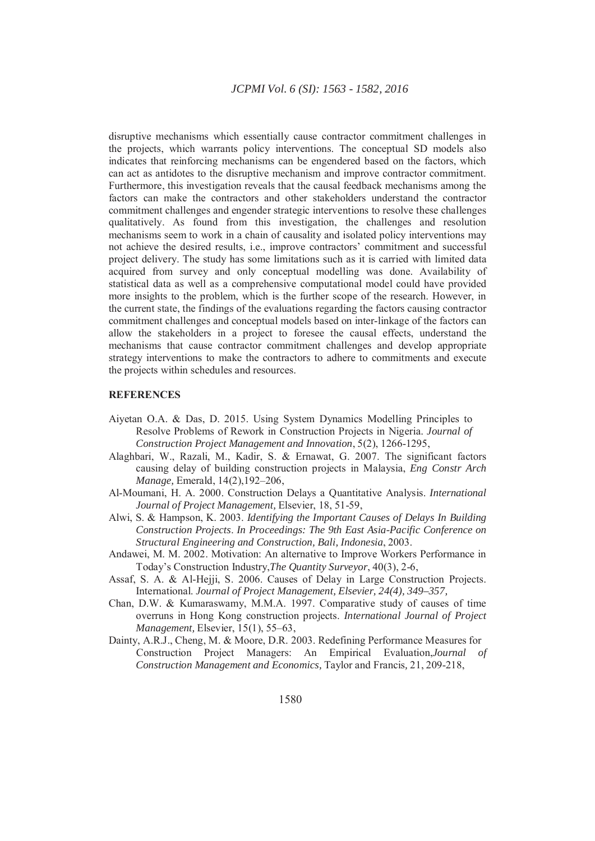disruptive mechanisms which essentially cause contractor commitment challenges in the projects, which warrants policy interventions. The conceptual SD models also indicates that reinforcing mechanisms can be engendered based on the factors, which can act as antidotes to the disruptive mechanism and improve contractor commitment. Furthermore, this investigation reveals that the causal feedback mechanisms among the factors can make the contractors and other stakeholders understand the contractor commitment challenges and engender strategic interventions to resolve these challenges qualitatively. As found from this investigation, the challenges and resolution mechanisms seem to work in a chain of causality and isolated policy interventions may not achieve the desired results, i.e., improve contractors' commitment and successful project delivery. The study has some limitations such as it is carried with limited data acquired from survey and only conceptual modelling was done. Availability of statistical data as well as a comprehensive computational model could have provided more insights to the problem, which is the further scope of the research. However, in the current state, the findings of the evaluations regarding the factors causing contractor commitment challenges and conceptual models based on inter-linkage of the factors can allow the stakeholders in a project to foresee the causal effects, understand the mechanisms that cause contractor commitment challenges and develop appropriate strategy interventions to make the contractors to adhere to commitments and execute the projects within schedules and resources.

### **REFERENCES**

- Aiyetan O.A. & Das, D. 2015. Using System Dynamics Modelling Principles to Resolve Problems of Rework in Construction Projects in Nigeria. *Journal of Construction Project Management and Innovation*, 5(2), 1266-1295,
- Alaghbari, W., Razali, M., Kadir, S. & Ernawat, G. 2007. The significant factors causing delay of building construction projects in Malaysia, *Eng Constr Arch Manage,* Emerald, 14(2),192–206,
- Al-Moumani, H. A. 2000. Construction Delays a Quantitative Analysis. *International Journal of Project Management,* Elsevier, 18, 51-59,
- Alwi, S. & Hampson, K. 2003. *Identifying the Important Causes of Delays In Building Construction Projects*. *In Proceedings: The 9th East Asia-Pacific Conference on Structural Engineering and Construction, Bali, Indonesia*, 2003.
- Andawei, M. M. 2002. Motivation: An alternative to Improve Workers Performance in Today's Construction Industry,*The Quantity Surveyor*, 40(3), 2-6,
- Assaf, S. A. & Al-Hejji, S. 2006. Causes of Delay in Large Construction Projects. International. *Journal of Project Management, Elsevier, 24(4), 349–357,*
- Chan, D.W. & Kumaraswamy, M.M.A. 1997. Comparative study of causes of time overruns in Hong Kong construction projects. *International Journal of Project Management,* Elsevier, 15(1), 55–63,
- Dainty, A.R.J., Cheng, M. & Moore, D.R. 2003. Redefining Performance Measures for Construction Project Managers: An Empirical Evaluation,*Journal of Construction Management and Economics,* Taylor and Francis*,* 21, 209-218,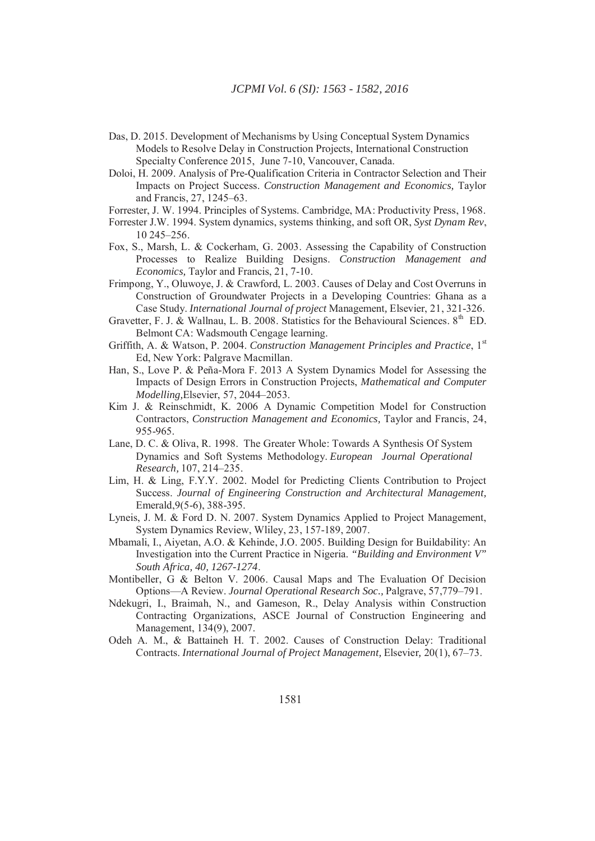- Das, D. 2015. Development of Mechanisms by Using Conceptual System Dynamics Models to Resolve Delay in Construction Projects, International Construction Specialty Conference 2015, June 7-10, Vancouver, Canada.
- Doloi, H. 2009. Analysis of Pre-Qualification Criteria in Contractor Selection and Their Impacts on Project Success. *Construction Management and Economics,* Taylor and Francis, 27, 1245–63.
- Forrester, J. W. 1994. Principles of Systems. Cambridge, MA: Productivity Press, 1968.
- Forrester J.W. 1994. System dynamics, systems thinking, and soft OR, *Syst Dynam Rev*, 10 245–256.
- Fox, S., Marsh, L. & Cockerham, G. 2003. Assessing the Capability of Construction Processes to Realize Building Designs. *Construction Management and Economics,* Taylor and Francis, 21, 7-10.
- Frimpong, Y., Oluwoye, J. & Crawford, L. 2003. Causes of Delay and Cost Overruns in Construction of Groundwater Projects in a Developing Countries: Ghana as a Case Study. *International Journal of project* Management*,* Elsevier, 21, 321-326.
- Gravetter, F. J. & Wallnau, L. B. 2008. Statistics for the Behavioural Sciences.  $8^{th}$  ED. Belmont CA: Wadsmouth Cengage learning.
- Griffith, A. & Watson, P. 2004. *Construction Management Principles and Practice*, 1<sup>st</sup> Ed, New York: Palgrave Macmillan.
- Han, S., Love P. & Peña-Mora F. 2013 A System Dynamics Model for Assessing the Impacts of Design Errors in Construction Projects, *Mathematical and Computer Modelling,*Elsevier, 57, 2044–2053.
- Kim J. & Reinschmidt, K. 2006 A Dynamic Competition Model for Construction Contractors, *Construction Management and Economics,* Taylor and Francis, 24, 955-965.
- Lane, D. C. & Oliva, R. 1998. The Greater Whole: Towards A Synthesis Of System Dynamics and Soft Systems Methodology. *European Journal Operational Research,* 107, 214–235.
- Lim, H. & Ling, F.Y.Y. 2002. Model for Predicting Clients Contribution to Project Success. *Journal of Engineering Construction and Architectural Management,*  Emerald,9(5-6), 388-395.
- Lyneis, J. M. & Ford D. N. 2007. System Dynamics Applied to Project Management, System Dynamics Review, Wliley, 23, 157-189, 2007.
- Mbamali, I., Aiyetan, A.O. & Kehinde, J.O. 2005. Building Design for Buildability: An Investigation into the Current Practice in Nigeria. *"Building and Environment V" South Africa, 40, 1267-1274*.
- Montibeller, G & Belton V. 2006. Causal Maps and The Evaluation Of Decision Options—A Review. *Journal Operational Research Soc.,* Palgrave, 57,779–791.
- Ndekugri, I., Braimah, N., and Gameson, R., Delay Analysis within Construction Contracting Organizations, ASCE Journal of Construction Engineering and Management, 134(9), 2007.
- Odeh A. M., & Battaineh H. T. 2002. Causes of Construction Delay: Traditional Contracts. *International Journal of Project Management,* Elsevier*,* 20(1), 67–73.